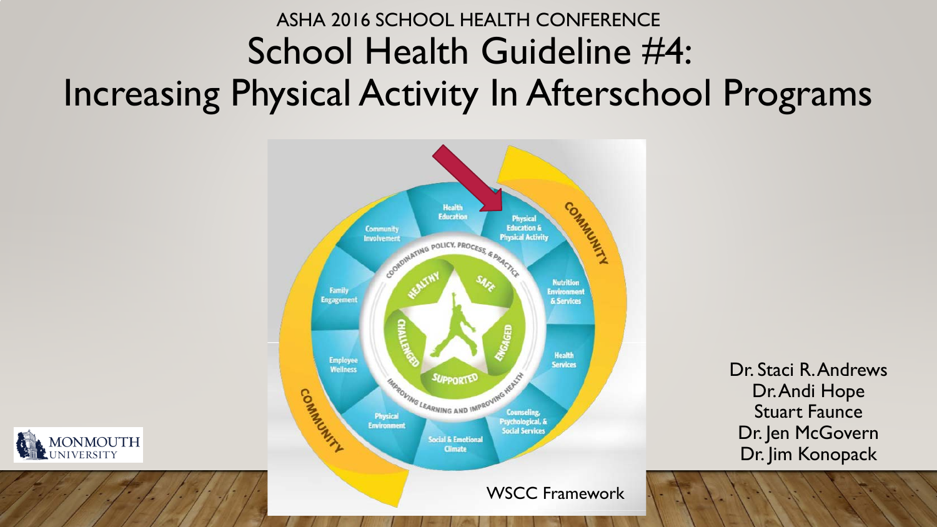# ASHA 2016 SCHOOL HEALTH CONFERENCE School Health Guideline #4: Increasing Physical Activity In Afterschool Programs



Dr. Staci R. Andrews Dr. Andi Hope Stuart Faunce Dr. Jen McGovern Dr. Jim Konopack

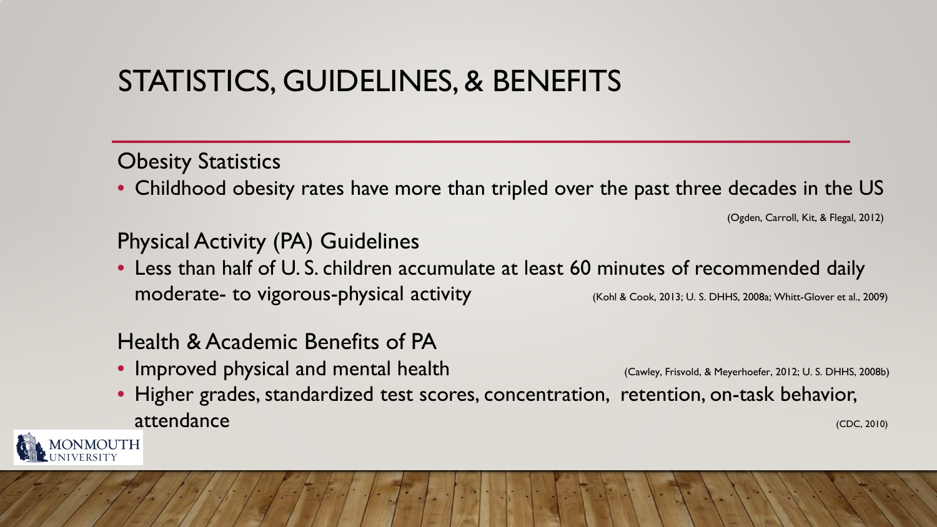## STATISTICS, GUIDELINES, & BENEFITS

### **Obesity Statistics**

• Childhood obesity rates have more than tripled over the past three decades in the US

(Ogden, Carroll, Kit, & Flegal, 2012)

### Physical Activity (PA) Guidelines

• Less than half of U. S. children accumulate at least 60 minutes of recommended daily moderate- to vigorous-physical activity (Kohl & Cook, 2013; U. S. DHHS, 2008a; Whitt-Glover et al., 2009)

### Health & Academic Benefits of PA

- Improved physical and mental health (Cawley, Frisvold, & Meyerhoefer, 2012; U. S. DHHS, 2008b)
	-
- Higher grades, standardized test scores, concentration, retention, on-task behavior, attendance (CDC, 2010)

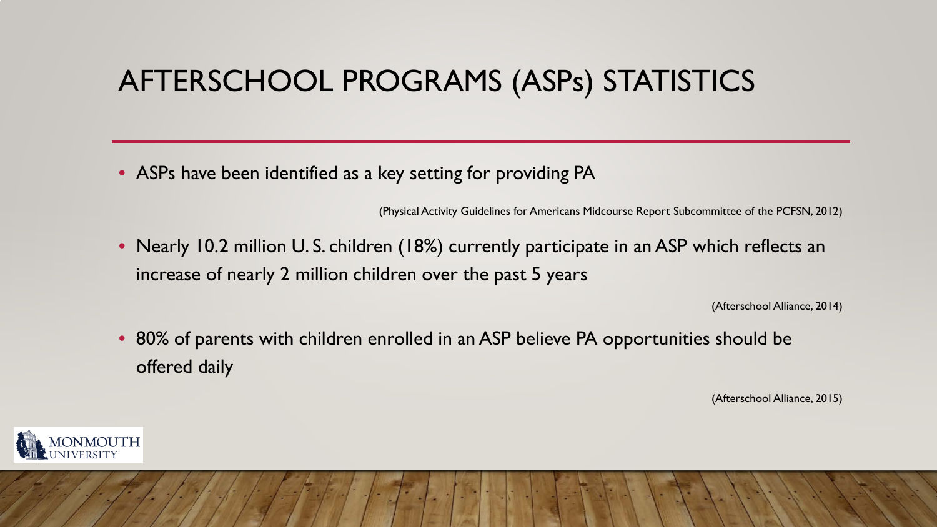## AFTERSCHOOL PROGRAMS (ASPs) STATISTICS

• ASPs have been identified as a key setting for providing PA

(Physical Activity Guidelines for Americans Midcourse Report Subcommittee of the PCFSN, 2012)

• Nearly 10.2 million U.S. children (18%) currently participate in an ASP which reflects an increase of nearly 2 million children over the past 5 years

(Afterschool Alliance, 2014)

• 80% of parents with children enrolled in an ASP believe PA opportunities should be offered daily

(Afterschool Alliance, 2015)

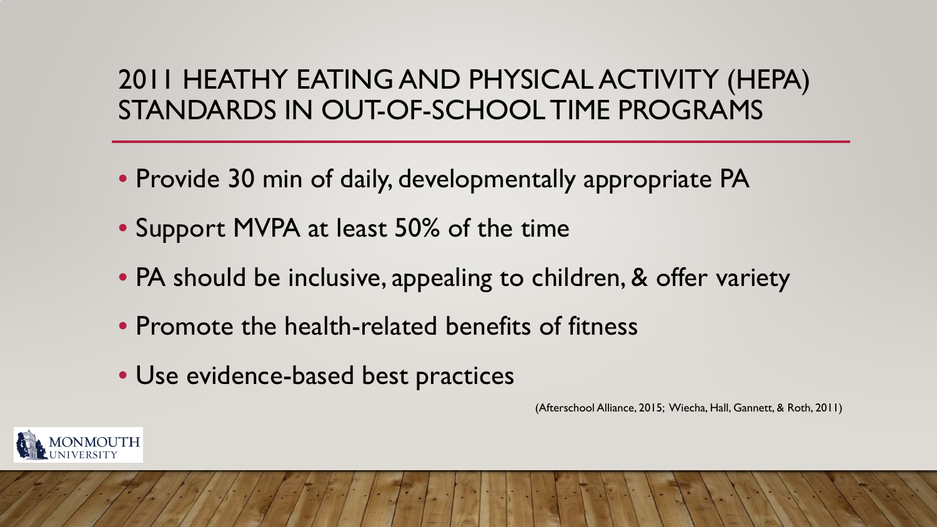### 2011 HEATHY EATING AND PHYSICAL ACTIVITY (HEPA) STANDARDS IN OUT-OF-SCHOOL TIME PROGRAMS

- Provide 30 min of daily, developmentally appropriate PA
- Support MVPA at least 50% of the time
- PA should be inclusive, appealing to children, & offer variety
- Promote the health-related benefits of fitness
- Use evidence-based best practices

(Afterschool Alliance, 2015; Wiecha, Hall, Gannett, & Roth, 2011)

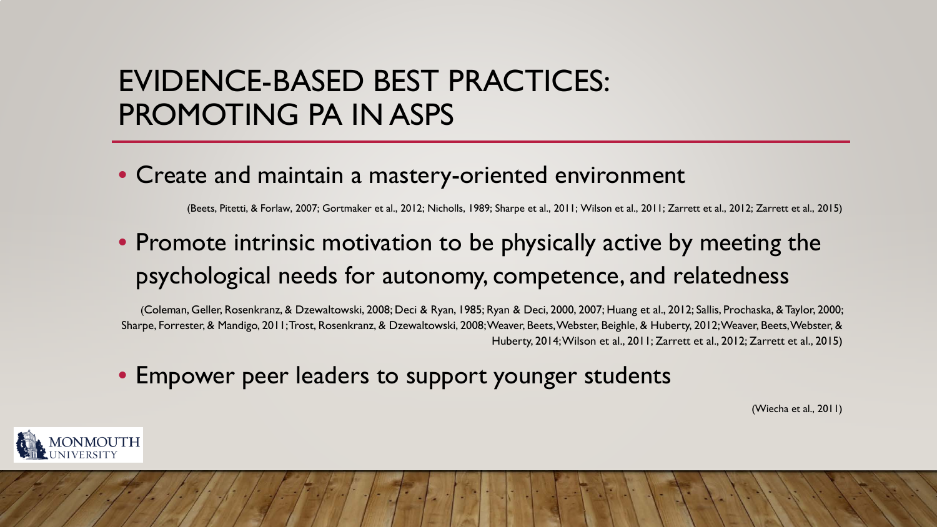## EVIDENCE-BASED BEST PRACTICES: PROMOTING PA IN ASPS

#### • Create and maintain a mastery-oriented environment

(Beets, Pitetti, & Forlaw, 2007; Gortmaker et al., 2012; Nicholls, 1989; Sharpe et al., 2011; Wilson et al., 2011; Zarrett et al., 2012; Zarrett et al., 2015)

### • Promote intrinsic motivation to be physically active by meeting the psychological needs for autonomy, competence, and relatedness

(Coleman, Geller, Rosenkranz, & Dzewaltowski, 2008; Deci & Ryan, 1985; Ryan & Deci, 2000, 2007; Huang et al., 2012; Sallis, Prochaska, & Taylor, 2000; Sharpe, Forrester, & Mandigo, 2011; Trost, Rosenkranz, & Dzewaltowski, 2008; Weaver, Beets, Webster, Beighle, & Huberty, 2012; Weaver, Beets, Webster, & Huberty, 2014; Wilson et al., 2011; Zarrett et al., 2012; Zarrett et al., 2015)

• Empower peer leaders to support younger students

(Wiecha et al., 2011)

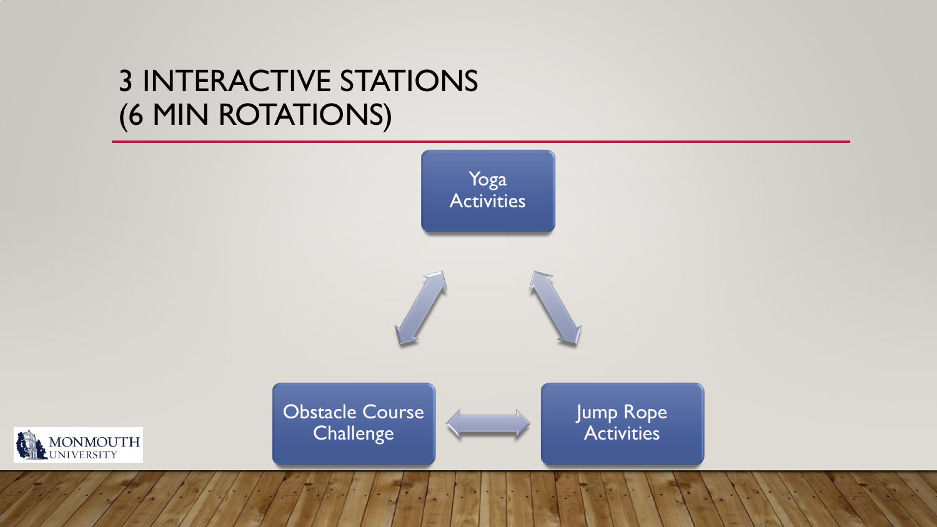## 3 INTERACTIVE STATIONS (6 MIN ROTATIONS)